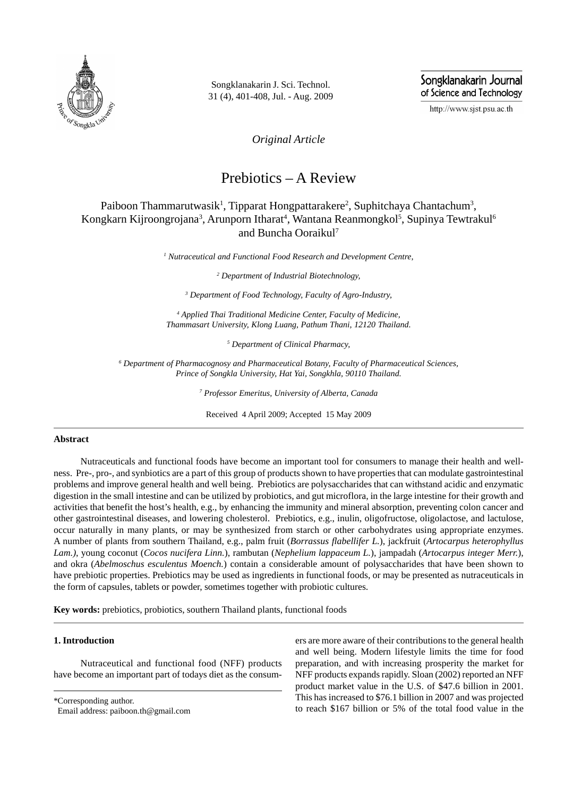

Songklanakarin J. Sci. Technol. 31 (4), 401-408, Jul. - Aug. 2009 Songklanakarin Journal of Science and Technology

http://www.sjst.psu.ac.th

*Original Article*

# Prebiotics – A Review

## Paiboon Thammarutwasik<sup>1</sup>, Tipparat Hongpattarakere<sup>2</sup>, Suphitchaya Chantachum<sup>3</sup>, Kongkarn Kijroongrojana<sup>3</sup>, Arunporn Itharat<sup>4</sup>, Wantana Reanmongkol<sup>5</sup>, Supinya Tewtrakul<sup>6</sup> and Buncha Ooraikul<sup>7</sup>

*1 Nutraceutical and Functional Food Research and Development Centre,*

*2 Department of Industrial Biotechnology,*

*3 Department of Food Technology, Faculty of Agro-Industry,*

*4 Applied Thai Traditional Medicine Center, Faculty of Medicine, Thammasart University, Klong Luang, Pathum Thani, 12120 Thailand.*

*5 Department of Clinical Pharmacy,*

*6 Department of Pharmacognosy and Pharmaceutical Botany, Faculty of Pharmaceutical Sciences, Prince of Songkla University, Hat Yai, Songkhla, 90110 Thailand.*

*7 Professor Emeritus, University of Alberta, Canada*

Received 4 April 2009; Accepted 15 May 2009

## **Abstract**

Nutraceuticals and functional foods have become an important tool for consumers to manage their health and wellness. Pre-, pro-, and synbiotics are a part of this group of products shown to have properties that can modulate gastrointestinal problems and improve general health and well being. Prebiotics are polysaccharides that can withstand acidic and enzymatic digestion in the small intestine and can be utilized by probiotics, and gut microflora, in the large intestine for their growth and activities that benefit the host's health, e.g., by enhancing the immunity and mineral absorption, preventing colon cancer and other gastrointestinal diseases, and lowering cholesterol. Prebiotics, e.g., inulin, oligofructose, oligolactose, and lactulose, occur naturally in many plants, or may be synthesized from starch or other carbohydrates using appropriate enzymes. A number of plants from southern Thailand, e.g., palm fruit (*Borrassus flabellifer L.*), jackfruit (*Artocarpus heterophyllus Lam.)*, young coconut (*Cocos nucifera Linn.*), rambutan (*Nephelium lappaceum L.*), jampadah (*Artocarpus integer Merr.*), and okra (*Abelmoschus esculentus Moench.*) contain a considerable amount of polysaccharides that have been shown to have prebiotic properties. Prebiotics may be used as ingredients in functional foods, or may be presented as nutraceuticals in the form of capsules, tablets or powder, sometimes together with probiotic cultures.

**Key words:** prebiotics, probiotics, southern Thailand plants, functional foods

## **1. Introduction**

Nutraceutical and functional food (NFF) products have become an important part of todays diet as the consum-

\*Corresponding author.

Email address: paiboon.th@gmail.com

ers are more aware of their contributions to the general health and well being. Modern lifestyle limits the time for food preparation, and with increasing prosperity the market for NFF products expands rapidly. Sloan (2002) reported an NFF product market value in the U.S. of \$47.6 billion in 2001. This has increased to \$76.1 billion in 2007 and was projected to reach \$167 billion or 5% of the total food value in the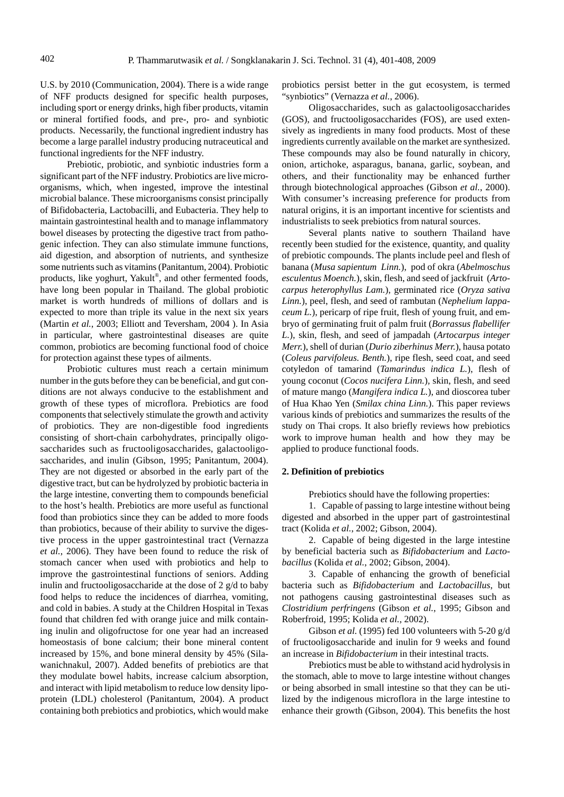U.S. by 2010 (Communication, 2004). There is a wide range of NFF products designed for specific health purposes, including sport or energy drinks, high fiber products, vitamin or mineral fortified foods, and pre-, pro- and synbiotic products. Necessarily, the functional ingredient industry has become a large parallel industry producing nutraceutical and functional ingredients for the NFF industry.

Prebiotic, probiotic, and synbiotic industries form a significant part of the NFF industry. Probiotics are live microorganisms, which, when ingested, improve the intestinal microbial balance. These microorganisms consist principally of Bifidobacteria, Lactobacilli, and Eubacteria. They help to maintain gastrointestinal health and to manage inflammatory bowel diseases by protecting the digestive tract from pathogenic infection. They can also stimulate immune functions, aid digestion, and absorption of nutrients, and synthesize some nutrients such as vitamins (Panitantum, 2004). Probiotic products, like yoghurt, Yakult® , and other fermented foods, have long been popular in Thailand. The global probiotic market is worth hundreds of millions of dollars and is expected to more than triple its value in the next six years (Martin *et al.*, 2003; Elliott and Teversham, 2004 ). In Asia in particular, where gastrointestinal diseases are quite common, probiotics are becoming functional food of choice for protection against these types of ailments.

Probiotic cultures must reach a certain minimum number in the guts before they can be beneficial, and gut conditions are not always conducive to the establishment and growth of these types of microflora. Prebiotics are food components that selectively stimulate the growth and activity of probiotics. They are non-digestible food ingredients consisting of short-chain carbohydrates, principally oligosaccharides such as fructooligosaccharides, galactooligosaccharides, and inulin (Gibson, 1995; Panitantum, 2004). They are not digested or absorbed in the early part of the digestive tract, but can be hydrolyzed by probiotic bacteria in the large intestine, converting them to compounds beneficial to the host's health. Prebiotics are more useful as functional food than probiotics since they can be added to more foods than probiotics, because of their ability to survive the digestive process in the upper gastrointestinal tract (Vernazza *et al.*, 2006). They have been found to reduce the risk of stomach cancer when used with probiotics and help to improve the gastrointestinal functions of seniors. Adding inulin and fructooligosaccharide at the dose of 2 g/d to baby food helps to reduce the incidences of diarrhea, vomiting, and cold in babies. A study at the Children Hospital in Texas found that children fed with orange juice and milk containing inulin and oligofructose for one year had an increased homeostasis of bone calcium; their bone mineral content increased by 15%, and bone mineral density by 45% (Silawanichnakul, 2007). Added benefits of prebiotics are that they modulate bowel habits, increase calcium absorption, and interact with lipid metabolism to reduce low density lipoprotein (LDL) cholesterol (Panitantum, 2004). A product containing both prebiotics and probiotics, which would make probiotics persist better in the gut ecosystem, is termed "synbiotics" (Vernazza *et al.*, 2006).

Oligosaccharides, such as galactooligosaccharides (GOS), and fructooligosaccharides (FOS), are used extensively as ingredients in many food products. Most of these ingredients currently available on the market are synthesized. These compounds may also be found naturally in chicory, onion, artichoke, asparagus, banana, garlic, soybean, and others, and their functionality may be enhanced further through biotechnological approaches (Gibson *et al.*, 2000). With consumer's increasing preference for products from natural origins, it is an important incentive for scientists and industrialists to seek prebiotics from natural sources.

Several plants native to southern Thailand have recently been studied for the existence, quantity, and quality of prebiotic compounds. The plants include peel and flesh of banana (*Musa sapientum Linn.*), pod of okra (*Abelmoschus esculentus Moench.*), skin, flesh, and seed of jackfruit (*Artocarpus heterophyllus Lam.*), germinated rice (*Oryza sativa Linn.*), peel, flesh, and seed of rambutan (*Nephelium lappaceum L.*), pericarp of ripe fruit, flesh of young fruit, and embryo of germinating fruit of palm fruit (*Borrassus flabellifer L.*), skin, flesh, and seed of jampadah (*Artocarpus integer Merr.*), shell of durian (*Durio ziberhinus Merr.*)*,* hausa potato (*Coleus parvifoleus. Benth.*), ripe flesh, seed coat, and seed cotyledon of tamarind (*Tamarindus indica L.*), flesh of young coconut (*Cocos nucifera Linn.*)*,* skin, flesh, and seed of mature mango (*Mangifera indica L.*), and dioscorea tuber of Hua Khao Yen (*Smilax china Linn.*). This paper reviews various kinds of prebiotics and summarizes the results of the study on Thai crops. It also briefly reviews how prebiotics work to improve human health and how they may be applied to produce functional foods.

#### **2. Definition of prebiotics**

Prebiotics should have the following properties:

1. Capable of passing to large intestine without being digested and absorbed in the upper part of gastrointestinal tract (Kolida *et al.*, 2002; Gibson, 2004).

2. Capable of being digested in the large intestine by beneficial bacteria such as *Bifidobacterium* and *Lactobacillus* (Kolida *et al.*, 2002; Gibson, 2004).

3. Capable of enhancing the growth of beneficial bacteria such as *Bifidobacterium* and *Lactobacillus*, but not pathogens causing gastrointestinal diseases such as *Clostridium perfringens* (Gibson *et al.*, 1995; Gibson and Roberfroid, 1995; Kolida *et al.*, 2002).

Gibson *et al.* (1995) fed 100 volunteers with 5-20 g/d of fructooligosaccharide and inulin for 9 weeks and found an increase in *Bifidobacterium* in their intestinal tracts.

Prebiotics must be able to withstand acid hydrolysis in the stomach, able to move to large intestine without changes or being absorbed in small intestine so that they can be utilized by the indigenous microflora in the large intestine to enhance their growth (Gibson, 2004). This benefits the host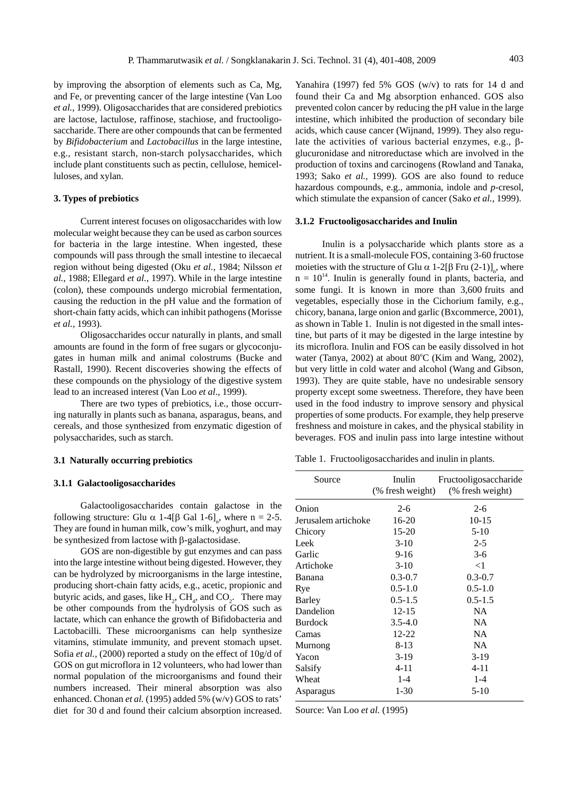by improving the absorption of elements such as Ca, Mg, and Fe, or preventing cancer of the large intestine (Van Loo *et al.*, 1999). Oligosaccharides that are considered prebiotics are lactose, lactulose, raffinose, stachiose, and fructooligosaccharide. There are other compounds that can be fermented by *Bifidobacterium* and *Lactobacillus* in the large intestine, e.g., resistant starch, non-starch polysaccharides, which include plant constituents such as pectin, cellulose, hemicelluloses, and xylan.

#### **3. Types of prebiotics**

Current interest focuses on oligosaccharides with low molecular weight because they can be used as carbon sources for bacteria in the large intestine. When ingested, these compounds will pass through the small intestine to ilecaecal region without being digested (Oku *et al.,* 1984; Nilsson *et al.*, 1988; Ellegard *et al.*, 1997). While in the large intestine (colon), these compounds undergo microbial fermentation, causing the reduction in the pH value and the formation of short-chain fatty acids, which can inhibit pathogens (Morisse *et al.*, 1993).

Oligosaccharides occur naturally in plants, and small amounts are found in the form of free sugars or glycoconjugates in human milk and animal colostrums (Bucke and Rastall, 1990). Recent discoveries showing the effects of these compounds on the physiology of the digestive system lead to an increased interest (Van Loo *et al*.*,* 1999).

There are two types of prebiotics, i.e., those occurring naturally in plants such as banana, asparagus, beans, and cereals, and those synthesized from enzymatic digestion of polysaccharides, such as starch.

#### **3.1 Naturally occurring prebiotics**

#### **3.1.1 Galactooligosaccharides**

Galactooligosaccharides contain galactose in the following structure: Glu  $\alpha$  1-4[ $\beta$  Gal 1-6]<sub>n</sub>, where n = 2-5. They are found in human milk, cow's milk, yoghurt, and may be synthesized from lactose with  $\beta$ -galactosidase.

GOS are non-digestible by gut enzymes and can pass into the large intestine without being digested. However, they can be hydrolyzed by microorganisms in the large intestine, producing short-chain fatty acids, e.g., acetic, propionic and butyric acids, and gases, like  $H_2$ , CH<sub>4</sub>, and CO<sub>2</sub>. There may be other compounds from the hydrolysis of GOS such as lactate, which can enhance the growth of Bifidobacteria and Lactobacilli. These microorganisms can help synthesize vitamins, stimulate immunity, and prevent stomach upset. Sofia *et al.*, (2000) reported a study on the effect of 10g/d of GOS on gut microflora in 12 volunteers, who had lower than normal population of the microorganisms and found their numbers increased. Their mineral absorption was also enhanced. Chonan *et al.* (1995) added 5% (w/v) GOS to rats' diet for 30 d and found their calcium absorption increased. Yanahira (1997) fed 5% GOS (w/v) to rats for 14 d and found their Ca and Mg absorption enhanced. GOS also prevented colon cancer by reducing the pH value in the large intestine, which inhibited the production of secondary bile acids, which cause cancer (Wijnand, 1999). They also regulate the activities of various bacterial enzymes, e.g.,  $\beta$ glucuronidase and nitroreductase which are involved in the production of toxins and carcinogens (Rowland and Tanaka, 1993; Sako *et al.*, 1999). GOS are also found to reduce hazardous compounds, e.g., ammonia, indole and *p*-cresol, which stimulate the expansion of cancer (Sako *et al.*, 1999).

#### **3.1.2 Fructooligosaccharides and Inulin**

Inulin is a polysaccharide which plants store as a nutrient. It is a small-molecule FOS, containing 3-60 fructose moieties with the structure of Glu  $\alpha$  1-2[ $\beta$  Fru (2-1)]<sub>n</sub>, where  $n = 10^{14}$ . Inulin is generally found in plants, bacteria, and some fungi. It is known in more than 3,600 fruits and vegetables, especially those in the Cichorium family, e.g., chicory, banana, large onion and garlic (Bxcommerce, 2001), as shown in Table 1. Inulin is not digested in the small intestine, but parts of it may be digested in the large intestine by its microflora. Inulin and FOS can be easily dissolved in hot water (Tanya, 2002) at about  $80^{\circ}$ C (Kim and Wang, 2002), but very little in cold water and alcohol (Wang and Gibson, 1993). They are quite stable, have no undesirable sensory property except some sweetness. Therefore, they have been used in the food industry to improve sensory and physical properties of some products. For example, they help preserve freshness and moisture in cakes, and the physical stability in beverages. FOS and inulin pass into large intestine without

Table 1. Fructooligosaccharides and inulin in plants.

| Source              | Inulin<br>(% fresh weight) | Fructooligosaccharide<br>(% fresh weight) |
|---------------------|----------------------------|-------------------------------------------|
| Onion               | $2-6$                      | $2-6$                                     |
| Jerusalem artichoke | 16-20                      | $10-15$                                   |
| Chicory             | $15 - 20$                  | $5-10$                                    |
| Leek                | $3-10$                     | $2 - 5$                                   |
| Garlic              | $9-16$                     | $3-6$                                     |
| Artichoke           | $3-10$                     | $<$ 1                                     |
| Banana              | $0.3 - 0.7$                | $0.3 - 0.7$                               |
| Rye                 | $0.5 - 1.0$                | $0.5 - 1.0$                               |
| Barley              | $0.5 - 1.5$                | $0.5 - 1.5$                               |
| Dandelion           | $12 - 15$                  | <b>NA</b>                                 |
| <b>Burdock</b>      | $3.5 - 4.0$                | <b>NA</b>                                 |
| Camas               | $12 - 22$                  | <b>NA</b>                                 |
| Murnong             | $8-13$                     | <b>NA</b>                                 |
| Yacon               | $3-19$                     | $3-19$                                    |
| Salsify             | $4 - 11$                   | $4 - 11$                                  |
| Wheat               | $1 - 4$                    | $1 - 4$                                   |
| Asparagus           | $1 - 30$                   | $5-10$                                    |

Source: Van Loo *et al.* (1995)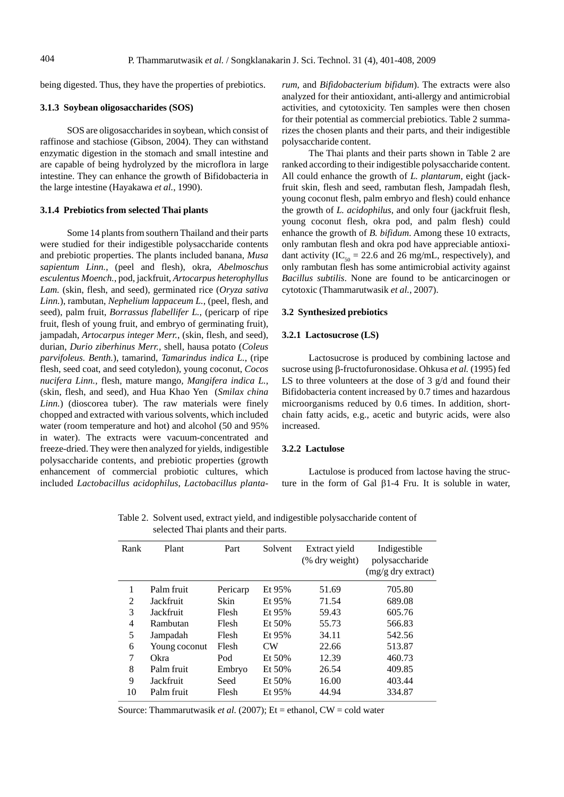being digested. Thus, they have the properties of prebiotics.

## **3.1.3 Soybean oligosaccharides (SOS)**

SOS are oligosaccharides in soybean, which consist of raffinose and stachiose (Gibson, 2004). They can withstand enzymatic digestion in the stomach and small intestine and are capable of being hydrolyzed by the microflora in large intestine. They can enhance the growth of Bifidobacteria in the large intestine (Hayakawa *et al.*, 1990).

## **3.1.4 Prebiotics from selected Thai plants**

Some 14 plants from southern Thailand and their parts were studied for their indigestible polysaccharide contents and prebiotic properties. The plants included banana, *Musa sapientum Linn.*, (peel and flesh), okra, *Abelmoschus esculentus Moench.*, pod, jackfruit, *Artocarpus heterophyllus Lam.* (skin, flesh, and seed), germinated rice (*Oryza sativa Linn.*), rambutan, *Nephelium lappaceum L.*, (peel, flesh, and seed), palm fruit, *Borrassus flabellifer L.*, (pericarp of ripe fruit, flesh of young fruit, and embryo of germinating fruit), jampadah, *Artocarpus integer Merr.*, (skin, flesh, and seed), durian, *Durio ziberhinus Merr.,* shell, hausa potato (*Coleus parvifoleus. Benth.*), tamarind, *Tamarindus indica L.*, (ripe flesh, seed coat, and seed cotyledon), young coconut, *Cocos nucifera Linn.,* flesh, mature mango*, Mangifera indica L.*, (skin, flesh, and seed), and Hua Khao Yen (*Smilax china Linn.*) (dioscorea tuber). The raw materials were finely chopped and extracted with various solvents, which included water (room temperature and hot) and alcohol (50 and 95% in water). The extracts were vacuum-concentrated and freeze-dried. They were then analyzed for yields, indigestible polysaccharide contents, and prebiotic properties (growth enhancement of commercial probiotic cultures, which included *Lactobacillus acidophilus*, *Lactobacillus planta-* *rum*, and *Bifidobacterium bifidum*). The extracts were also analyzed for their antioxidant, anti-allergy and antimicrobial activities, and cytotoxicity. Ten samples were then chosen for their potential as commercial prebiotics. Table 2 summarizes the chosen plants and their parts, and their indigestible polysaccharide content.

The Thai plants and their parts shown in Table 2 are ranked according to their indigestible polysaccharide content. All could enhance the growth of *L. plantarum*, eight (jackfruit skin, flesh and seed, rambutan flesh, Jampadah flesh, young coconut flesh, palm embryo and flesh) could enhance the growth of *L. acidophilus*, and only four (jackfruit flesh, young coconut flesh, okra pod, and palm flesh) could enhance the growth of *B. bifidum*. Among these 10 extracts, only rambutan flesh and okra pod have appreciable antioxidant activity (IC<sub>50</sub> = 22.6 and 26 mg/mL, respectively), and only rambutan flesh has some antimicrobial activity against *Bacillus subtilis*. None are found to be anticarcinogen or cytotoxic (Thammarutwasik *et al.*, 2007).

#### **3.2 Synthesized prebiotics**

### **3.2.1 Lactosucrose (LS)**

Lactosucrose is produced by combining lactose and sucrose using  $\beta$ -fructofuronosidase. Ohkusa *et al.* (1995) fed LS to three volunteers at the dose of 3 g/d and found their Bifidobacteria content increased by 0.7 times and hazardous microorganisms reduced by 0.6 times. In addition, shortchain fatty acids, e.g., acetic and butyric acids, were also increased.

#### **3.2.2 Lactulose**

Lactulose is produced from lactose having the structure in the form of Gal  $\beta$ 1-4 Fru. It is soluble in water,

| Rank           | Plant         | Part     | Solvent    | Extract yield<br>(% dry weight) | Indigestible<br>polysaccharide<br>$(mg/g$ dry extract) |
|----------------|---------------|----------|------------|---------------------------------|--------------------------------------------------------|
| 1              | Palm fruit    | Pericarp | Et 95%     | 51.69                           | 705.80                                                 |
| $\overline{2}$ | Jackfruit     | Skin     | Et 95%     | 71.54                           | 689.08                                                 |
| 3              | Jackfruit     | Flesh    | Et 95%     | 59.43                           | 605.76                                                 |
| 4              | Rambutan      | Flesh    | $Et\ 50\%$ | 55.73                           | 566.83                                                 |
| 5              | Jampadah      | Flesh    | Et 95%     | 34.11                           | 542.56                                                 |
| 6              | Young coconut | Flesh    | <b>CW</b>  | 22.66                           | 513.87                                                 |
| 7              | Okra          | Pod      | $Et\ 50\%$ | 12.39                           | 460.73                                                 |
| 8              | Palm fruit    | Embryo   | Et 50%     | 26.54                           | 409.85                                                 |
| 9              | Jackfruit     | Seed     | Et 50%     | 16.00                           | 403.44                                                 |
| 10             | Palm fruit    | Flesh    | Et 95%     | 44.94                           | 334.87                                                 |

Table 2. Solvent used, extract yield, and indigestible polysaccharide content of selected Thai plants and their parts.

Source: Thammarutwasik *et al.* (2007); Et = ethanol, CW = cold water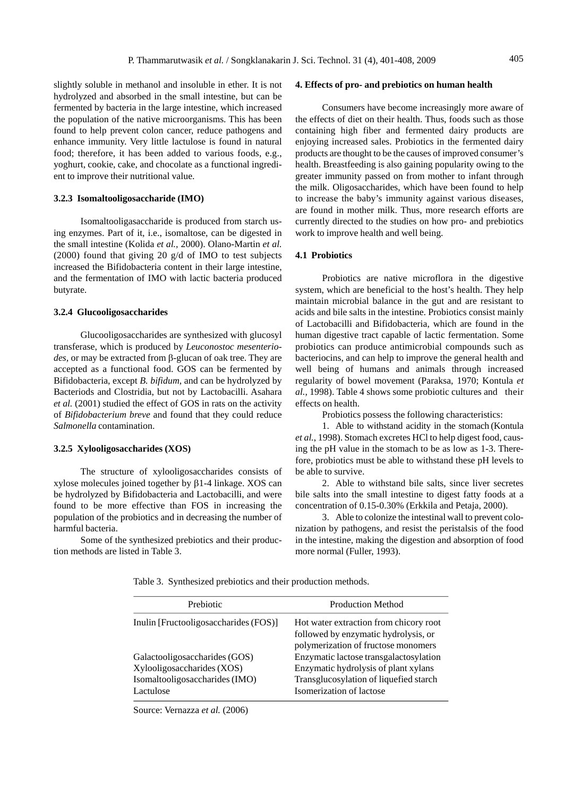slightly soluble in methanol and insoluble in ether. It is not hydrolyzed and absorbed in the small intestine, but can be fermented by bacteria in the large intestine, which increased the population of the native microorganisms. This has been found to help prevent colon cancer, reduce pathogens and enhance immunity. Very little lactulose is found in natural food; therefore, it has been added to various foods, e.g., yoghurt, cookie, cake, and chocolate as a functional ingredient to improve their nutritional value.

#### **3.2.3 Isomaltooligosaccharide (IMO)**

Isomaltooligasaccharide is produced from starch using enzymes. Part of it, i.e., isomaltose, can be digested in the small intestine (Kolida *et al.,* 2000). Olano-Martin *et al.* (2000) found that giving 20 g/d of IMO to test subjects increased the Bifidobacteria content in their large intestine, and the fermentation of IMO with lactic bacteria produced butyrate.

#### **3.2.4 Glucooligosaccharides**

Glucooligosaccharides are synthesized with glucosyl transferase, which is produced by *Leuconostoc mesenterio*des, or may be extracted from  $\beta$ -glucan of oak tree. They are accepted as a functional food. GOS can be fermented by Bifidobacteria, except *B. bifidum*, and can be hydrolyzed by Bacteriods and Clostridia, but not by Lactobacilli. Asahara *et al.* (2001) studied the effect of GOS in rats on the activity of *Bifidobacterium breve* and found that they could reduce *Salmonella* contamination.

#### **3.2.5 Xylooligosaccharides (XOS)**

The structure of xylooligosaccharides consists of xylose molecules joined together by  $\beta$ 1-4 linkage. XOS can be hydrolyzed by Bifidobacteria and Lactobacilli, and were found to be more effective than FOS in increasing the population of the probiotics and in decreasing the number of harmful bacteria.

Some of the synthesized prebiotics and their production methods are listed in Table 3.

#### **4. Effects of pro- and prebiotics on human health**

Consumers have become increasingly more aware of the effects of diet on their health. Thus, foods such as those containing high fiber and fermented dairy products are enjoying increased sales. Probiotics in the fermented dairy products are thought to be the causes of improved consumer's health. Breastfeeding is also gaining popularity owing to the greater immunity passed on from mother to infant through the milk. Oligosaccharides, which have been found to help to increase the baby's immunity against various diseases, are found in mother milk. Thus, more research efforts are currently directed to the studies on how pro- and prebiotics work to improve health and well being.

#### **4.1 Probiotics**

Probiotics are native microflora in the digestive system, which are beneficial to the host's health. They help maintain microbial balance in the gut and are resistant to acids and bile salts in the intestine. Probiotics consist mainly of Lactobacilli and Bifidobacteria, which are found in the human digestive tract capable of lactic fermentation. Some probiotics can produce antimicrobial compounds such as bacteriocins, and can help to improve the general health and well being of humans and animals through increased regularity of bowel movement (Paraksa, 1970; Kontula *et al.*, 1998). Table 4 shows some probiotic cultures and their effects on health.

Probiotics possess the following characteristics:

1. Able to withstand acidity in the stomach (Kontula *et al.*, 1998). Stomach excretes HCl to help digest food, causing the pH value in the stomach to be as low as 1-3. Therefore, probiotics must be able to withstand these pH levels to be able to survive.

2. Able to withstand bile salts, since liver secretes bile salts into the small intestine to digest fatty foods at a concentration of 0.15-0.30% (Erkkila and Petaja, 2000).

3. Able to colonize the intestinal wall to prevent colonization by pathogens, and resist the peristalsis of the food in the intestine, making the digestion and absorption of food more normal (Fuller, 1993).

Table 3. Synthesized prebiotics and their production methods.

| Prebiotic                                                                                                  | <b>Production Method</b>                                                                                                                             |
|------------------------------------------------------------------------------------------------------------|------------------------------------------------------------------------------------------------------------------------------------------------------|
| Inulin [Fructooligosaccharides (FOS)]                                                                      | Hot water extraction from chicory root<br>followed by enzymatic hydrolysis, or<br>polymerization of fructose monomers                                |
| Galactooligosaccharides (GOS)<br>Xylooligosaccharides (XOS)<br>Isomaltooligosaccharides (IMO)<br>Lactulose | Enzymatic lactose transgalactosylation<br>Enzymatic hydrolysis of plant xylans<br>Transglucosylation of liquefied starch<br>Isomerization of lactose |

Source: Vernazza *et al.* (2006)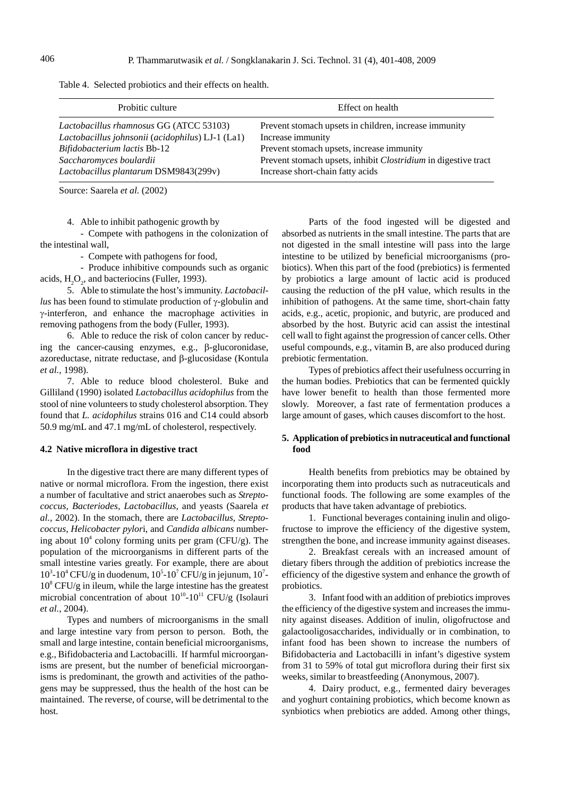Table 4. Selected probiotics and their effects on health.

| Probitic culture                                 | Effect on health                                                      |
|--------------------------------------------------|-----------------------------------------------------------------------|
| Lactobacillus rhamnosus GG (ATCC 53103)          | Prevent stomach upsets in children, increase immunity                 |
| Lactobacillus johnsonii (acidophilus) LJ-1 (La1) | Increase immunity                                                     |
| Bifidobacterium lactis Bb-12                     | Prevent stomach upsets, increase immunity                             |
| Saccharomyces boulardii                          | Prevent stomach upsets, inhibit <i>Clostridium</i> in digestive tract |
| Lactobacillus plantarum DSM9843(299v)            | Increase short-chain fatty acids                                      |

Source: Saarela *et al.* (2002)

4. Able to inhibit pathogenic growth by

- Compete with pathogens in the colonization of the intestinal wall,

- Compete with pathogens for food*,*

- Produce inhibitive compounds such as organic acids,  $H_2O_2$ , and bacteriocins (Fuller, 1993).

5. Able to stimulate the host's immunity. *Lactobacillus* has been found to stimulate production of  $\gamma$ -globulin and -interferon, and enhance the macrophage activities in removing pathogens from the body (Fuller, 1993).

6. Able to reduce the risk of colon cancer by reducing the cancer-causing enzymes, e.g.,  $\beta$ -glucoronidase, azoreductase, nitrate reductase, and  $\beta$ -glucosidase (Kontula *et al.*, 1998).

7. Able to reduce blood cholesterol. Buke and Gilliland (1990) isolated *Lactobacillus acidophilus* from the stool of nine volunteers to study cholesterol absorption. They found that *L. acidophilus* strains 016 and C14 could absorb 50.9 mg/mL and 47.1 mg/mL of cholesterol, respectively.

#### **4.2 Native microflora in digestive tract**

In the digestive tract there are many different types of native or normal microflora. From the ingestion, there exist a number of facultative and strict anaerobes such as *Streptococcus, Bacteriodes, Lactobacillus*, and yeasts (Saarela *et al.*, 2002). In the stomach, there are *Lactobacillus, Streptococcus, Helicobacter pylor*i, and *Candida albicans* numbering about  $10^4$  colony forming units per gram (CFU/g). The population of the microorganisms in different parts of the small intestine varies greatly. For example, there are about  $10^3$ -10<sup>4</sup> CFU/g in duodenum,  $10^5$ -10<sup>7</sup> CFU/g in jejunum,  $10^7$ - $10<sup>8</sup>$  CFU/g in ileum, while the large intestine has the greatest microbial concentration of about  $10^{10}$ - $10^{11}$  CFU/g (Isolauri *et al.*, 2004).

Types and numbers of microorganisms in the small and large intestine vary from person to person. Both, the small and large intestine, contain beneficial microorganisms, e.g., Bifidobacteria and Lactobacilli. If harmful microorganisms are present, but the number of beneficial microorganisms is predominant, the growth and activities of the pathogens may be suppressed, thus the health of the host can be maintained. The reverse, of course, will be detrimental to the host.

Parts of the food ingested will be digested and absorbed as nutrients in the small intestine. The parts that are not digested in the small intestine will pass into the large intestine to be utilized by beneficial microorganisms (probiotics). When this part of the food (prebiotics) is fermented by probiotics a large amount of lactic acid is produced causing the reduction of the pH value, which results in the inhibition of pathogens. At the same time, short-chain fatty acids, e.g., acetic, propionic, and butyric, are produced and absorbed by the host. Butyric acid can assist the intestinal cell wall to fight against the progression of cancer cells. Other useful compounds, e.g., vitamin B, are also produced during prebiotic fermentation.

Types of prebiotics affect their usefulness occurring in the human bodies. Prebiotics that can be fermented quickly have lower benefit to health than those fermented more slowly. Moreover, a fast rate of fermentation produces a large amount of gases, which causes discomfort to the host.

## **5. Application of prebiotics in nutraceutical and functional food**

Health benefits from prebiotics may be obtained by incorporating them into products such as nutraceuticals and functional foods. The following are some examples of the products that have taken advantage of prebiotics.

1. Functional beverages containing inulin and oligofructose to improve the efficiency of the digestive system, strengthen the bone, and increase immunity against diseases.

2. Breakfast cereals with an increased amount of dietary fibers through the addition of prebiotics increase the efficiency of the digestive system and enhance the growth of probiotics.

3. Infant food with an addition of prebiotics improves the efficiency of the digestive system and increases the immunity against diseases. Addition of inulin, oligofructose and galactooligosaccharides, individually or in combination, to infant food has been shown to increase the numbers of Bifidobacteria and Lactobacilli in infant's digestive system from 31 to 59% of total gut microflora during their first six weeks, similar to breastfeeding (Anonymous, 2007).

4. Dairy product, e.g., fermented dairy beverages and yoghurt containing probiotics, which become known as synbiotics when prebiotics are added. Among other things,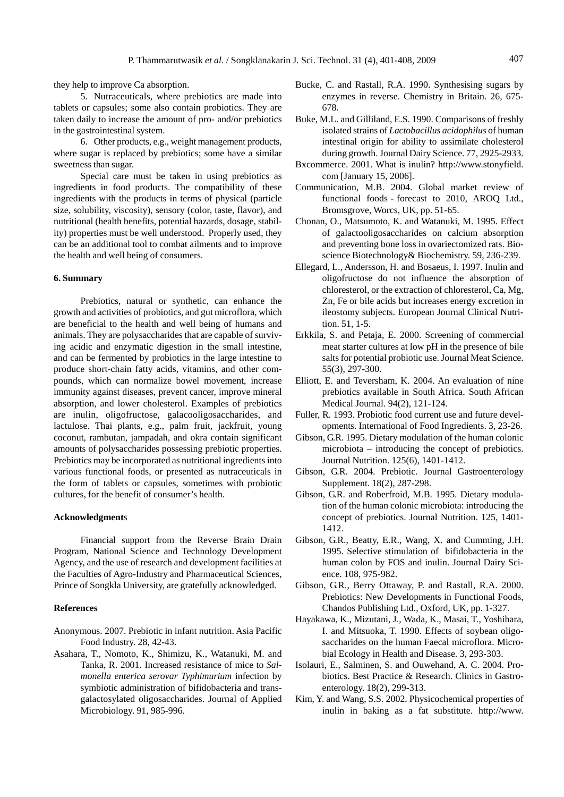they help to improve Ca absorption.

5. Nutraceuticals, where prebiotics are made into tablets or capsules; some also contain probiotics. They are taken daily to increase the amount of pro- and/or prebiotics in the gastrointestinal system.

6. Other products, e.g., weight management products, where sugar is replaced by prebiotics; some have a similar sweetness than sugar.

Special care must be taken in using prebiotics as ingredients in food products. The compatibility of these ingredients with the products in terms of physical (particle size, solubility, viscosity), sensory (color, taste, flavor), and nutritional (health benefits, potential hazards, dosage, stability) properties must be well understood. Properly used, they can be an additional tool to combat ailments and to improve the health and well being of consumers.

#### **6. Summary**

Prebiotics, natural or synthetic, can enhance the growth and activities of probiotics, and gut microflora, which are beneficial to the health and well being of humans and animals. They are polysaccharides that are capable of surviving acidic and enzymatic digestion in the small intestine, and can be fermented by probiotics in the large intestine to produce short-chain fatty acids, vitamins, and other compounds, which can normalize bowel movement, increase immunity against diseases, prevent cancer, improve mineral absorption, and lower cholesterol. Examples of prebiotics are inulin, oligofructose, galacooligosaccharides, and lactulose. Thai plants, e.g., palm fruit, jackfruit, young coconut, rambutan, jampadah, and okra contain significant amounts of polysaccharides possessing prebiotic properties. Prebiotics may be incorporated as nutritional ingredients into various functional foods, or presented as nutraceuticals in the form of tablets or capsules, sometimes with probiotic cultures, for the benefit of consumer's health.

#### **Acknowledgment**s

Financial support from the Reverse Brain Drain Program, National Science and Technology Development Agency, and the use of research and development facilities at the Faculties of Agro-Industry and Pharmaceutical Sciences, Prince of Songkla University, are gratefully acknowledged.

#### **References**

- Anonymous. 2007. Prebiotic in infant nutrition. Asia Pacific Food Industry. 28, 42-43.
- Asahara, T., Nomoto, K., Shimizu, K., Watanuki, M. and Tanka, R. 2001. Increased resistance of mice to *Salmonella enterica serovar Typhimurium* infection by symbiotic administration of bifidobacteria and transgalactosylated oligosaccharides. Journal of Applied Microbiology. 91, 985-996.
- Bucke, C. and Rastall, R.A. 1990. Synthesising sugars by enzymes in reverse. Chemistry in Britain. 26, 675- 678.
- Buke, M.L. and Gilliland, E.S. 1990. Comparisons of freshly isolated strains of *Lactobacillus acidophilus* of human intestinal origin for ability to assimilate cholesterol during growth. Journal Dairy Science. 77, 2925-2933.
- Bxcommerce. 2001. What is inulin? http://www.stonyfield. com [January 15, 2006].
- Communication, M.B. 2004. Global market review of functional foods - forecast to 2010, AROQ Ltd., Bromsgrove, Worcs, UK, pp. 51-65.
- Chonan, O., Matsumoto, K. and Watanuki, M. 1995. Effect of galactooligosaccharides on calcium absorption and preventing bone loss in ovariectomized rats. Bioscience Biotechnology& Biochemistry. 59, 236-239.
- Ellegard, L., Andersson, H. and Bosaeus, I. 1997. Inulin and oligofructose do not influence the absorption of chloresterol, or the extraction of chloresterol, Ca, Mg, Zn, Fe or bile acids but increases energy excretion in ileostomy subjects. European Journal Clinical Nutrition. 51, 1-5.
- Erkkila, S. and Petaja, E. 2000. Screening of commercial meat starter cultures at low pH in the presence of bile salts for potential probiotic use. Journal Meat Science. 55(3), 297-300.
- Elliott, E. and Teversham, K. 2004. An evaluation of nine prebiotics available in South Africa. South African Medical Journal. 94(2), 121-124.
- Fuller, R. 1993. Probiotic food current use and future developments. International of Food Ingredients. 3, 23-26.
- Gibson, G.R. 1995. Dietary modulation of the human colonic microbiota – introducing the concept of prebiotics. Journal Nutrition. 125(6), 1401-1412.
- Gibson, G.R. 2004. Prebiotic. Journal Gastroenterology Supplement. 18(2), 287-298.
- Gibson, G.R. and Roberfroid, M.B. 1995. Dietary modulation of the human colonic microbiota: introducing the concept of prebiotics. Journal Nutrition. 125, 1401- 1412.
- Gibson, G.R., Beatty, E.R., Wang, X. and Cumming, J.H. 1995. Selective stimulation of bifidobacteria in the human colon by FOS and inulin. Journal Dairy Science. 108, 975-982.
- Gibson, G.R., Berry Ottaway, P. and Rastall, R.A. 2000. Prebiotics: New Developments in Functional Foods, Chandos Publishing Ltd., Oxford, UK, pp. 1-327.
- Hayakawa, K., Mizutani, J., Wada, K., Masai, T., Yoshihara, I. and Mitsuoka, T. 1990. Effects of soybean oligosaccharides on the human Faecal microflora. Microbial Ecology in Health and Disease. 3, 293-303.
- Isolauri, E., Salminen, S. and Ouwehand, A. C. 2004. Probiotics. Best Practice & Research. Clinics in Gastroenterology. 18(2), 299-313.
- Kim, Y. and Wang, S.S. 2002. Physicochemical properties of inulin in baking as a fat substitute. http://www.